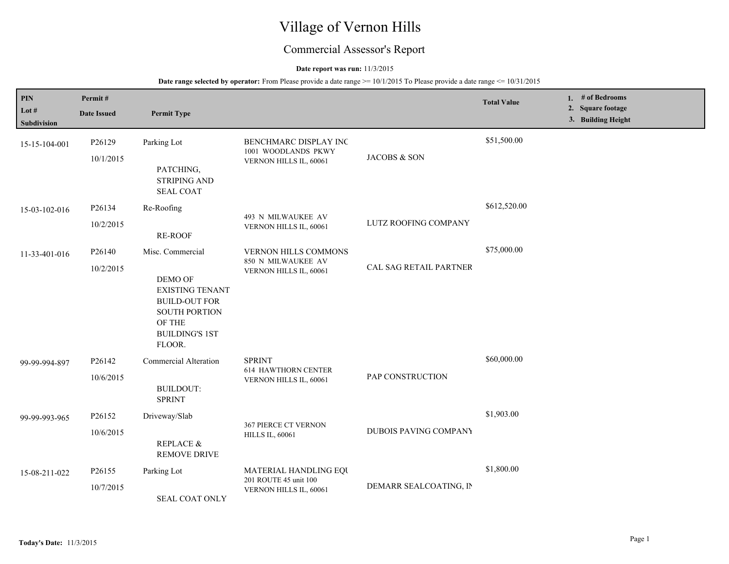# Village of Vernon Hills

## Commercial Assessor's Report

## **Date report was run:** 11/3/2015

| PIN<br>Lot $#$<br>Subdivision | Permit#<br><b>Date Issued</b> | <b>Permit Type</b>                                                                                                                                 |                                                                             |                              | <b>Total Value</b> | 1. # of Bedrooms<br>2. Square footage<br>3. Building Height |  |
|-------------------------------|-------------------------------|----------------------------------------------------------------------------------------------------------------------------------------------------|-----------------------------------------------------------------------------|------------------------------|--------------------|-------------------------------------------------------------|--|
| 15-15-104-001                 | P26129<br>10/1/2015           | Parking Lot<br>PATCHING,<br><b>STRIPING AND</b><br><b>SEAL COAT</b>                                                                                | BENCHMARC DISPLAY INC<br>1001 WOODLANDS PKWY<br>VERNON HILLS IL, 60061      | JACOBS & SON                 | \$51,500.00        |                                                             |  |
| 15-03-102-016                 | P26134<br>10/2/2015           | Re-Roofing<br>RE-ROOF                                                                                                                              | 493 N MILWAUKEE AV<br>VERNON HILLS IL, 60061                                | LUTZ ROOFING COMPANY         | \$612,520.00       |                                                             |  |
| 11-33-401-016                 | P26140<br>10/2/2015           | Misc. Commercial<br>DEMO OF<br><b>EXISTING TENANT</b><br><b>BUILD-OUT FOR</b><br><b>SOUTH PORTION</b><br>OF THE<br><b>BUILDING'S 1ST</b><br>FLOOR. | <b>VERNON HILLS COMMONS</b><br>850 N MILWAUKEE AV<br>VERNON HILLS IL, 60061 | CAL SAG RETAIL PARTNER       | \$75,000.00        |                                                             |  |
| 99-99-994-897                 | P26142<br>10/6/2015           | <b>Commercial Alteration</b><br><b>BUILDOUT:</b><br><b>SPRINT</b>                                                                                  | <b>SPRINT</b><br><b>614 HAWTHORN CENTER</b><br>VERNON HILLS IL, 60061       | PAP CONSTRUCTION             | \$60,000.00        |                                                             |  |
| 99-99-993-965                 | P26152<br>10/6/2015           | Driveway/Slab<br>REPLACE &<br><b>REMOVE DRIVE</b>                                                                                                  | 367 PIERCE CT VERNON<br><b>HILLS IL, 60061</b>                              | <b>DUBOIS PAVING COMPANY</b> | \$1,903.00         |                                                             |  |
| 15-08-211-022                 | P26155<br>10/7/2015           | Parking Lot<br><b>SEAL COAT ONLY</b>                                                                                                               | MATERIAL HANDLING EOU<br>201 ROUTE 45 unit 100<br>VERNON HILLS IL, 60061    | DEMARR SEALCOATING, IN       | \$1,800.00         |                                                             |  |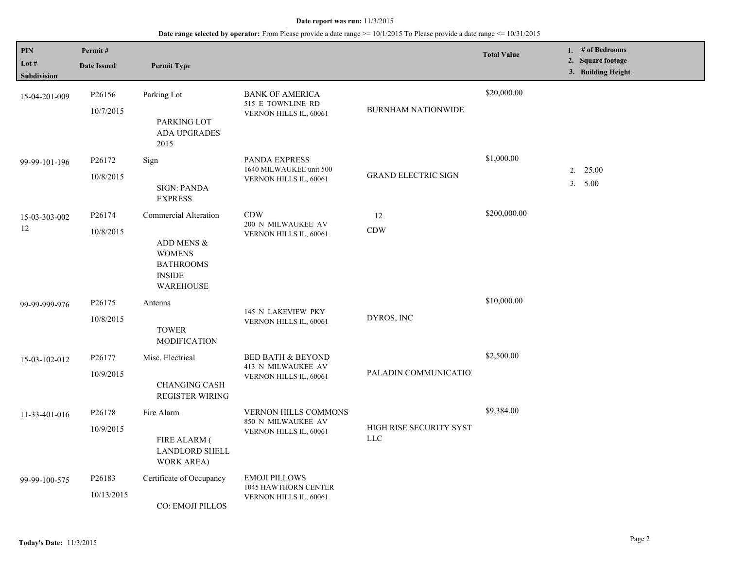| <b>PIN</b><br>Lot $#$<br><b>Subdivision</b> | Permit#<br><b>Date Issued</b>   | <b>Permit Type</b>                                                                                            |                                                                              |                                       | <b>Total Value</b> | 1. # of Bedrooms<br>2. Square footage<br>3. Building Height |
|---------------------------------------------|---------------------------------|---------------------------------------------------------------------------------------------------------------|------------------------------------------------------------------------------|---------------------------------------|--------------------|-------------------------------------------------------------|
| 15-04-201-009                               | P <sub>26156</sub><br>10/7/2015 | Parking Lot<br>PARKING LOT<br>ADA UPGRADES<br>2015                                                            | <b>BANK OF AMERICA</b><br>515 E TOWNLINE RD<br>VERNON HILLS IL, 60061        | <b>BURNHAM NATIONWIDE</b>             | \$20,000.00        |                                                             |
| 99-99-101-196                               | P26172<br>10/8/2015             | Sign<br><b>SIGN: PANDA</b><br><b>EXPRESS</b>                                                                  | PANDA EXPRESS<br>1640 MILWAUKEE unit 500<br>VERNON HILLS IL, 60061           | <b>GRAND ELECTRIC SIGN</b>            | \$1,000.00         | 2. 25.00<br>3. 5.00                                         |
| 15-03-303-002<br>12                         | P26174<br>10/8/2015             | Commercial Alteration<br>ADD MENS &<br><b>WOMENS</b><br><b>BATHROOMS</b><br><b>INSIDE</b><br><b>WAREHOUSE</b> | <b>CDW</b><br>200 N MILWAUKEE AV<br>VERNON HILLS IL, 60061                   | 12<br><b>CDW</b>                      | \$200,000.00       |                                                             |
| 99-99-999-976                               | P26175<br>10/8/2015             | Antenna<br><b>TOWER</b><br><b>MODIFICATION</b>                                                                | 145 N LAKEVIEW PKY<br>VERNON HILLS IL, 60061                                 | DYROS, INC                            | \$10,000.00        |                                                             |
| 15-03-102-012                               | P26177<br>10/9/2015             | Misc. Electrical<br><b>CHANGING CASH</b><br>REGISTER WIRING                                                   | <b>BED BATH &amp; BEYOND</b><br>413 N MILWAUKEE AV<br>VERNON HILLS IL, 60061 | PALADIN COMMUNICATIO!                 | \$2,500.00         |                                                             |
| 11-33-401-016                               | P <sub>26178</sub><br>10/9/2015 | Fire Alarm<br><b>FIRE ALARM (</b><br><b>LANDLORD SHELL</b><br>WORK AREA)                                      | <b>VERNON HILLS COMMONS</b><br>850 N MILWAUKEE AV<br>VERNON HILLS IL, 60061  | HIGH RISE SECURITY SYST<br><b>LLC</b> | \$9,384.00         |                                                             |
| 99-99-100-575                               | P26183<br>10/13/2015            | Certificate of Occupancy<br>CO: EMOJI PILLOS                                                                  | <b>EMOJI PILLOWS</b><br>1045 HAWTHORN CENTER<br>VERNON HILLS IL, 60061       |                                       |                    |                                                             |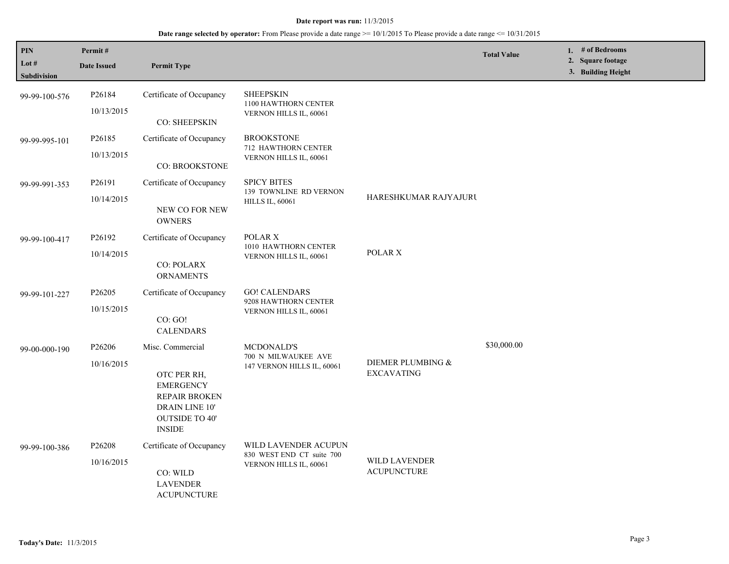| <b>PIN</b><br>Lot #<br>Subdivision | Permit#<br><b>Date Issued</b>    | <b>Permit Type</b>                                                                                                                             |                                                                             |                                            | <b>Total Value</b> | 1. # of Bedrooms<br>2. Square footage<br>3. Building Height |
|------------------------------------|----------------------------------|------------------------------------------------------------------------------------------------------------------------------------------------|-----------------------------------------------------------------------------|--------------------------------------------|--------------------|-------------------------------------------------------------|
| 99-99-100-576                      | P26184<br>10/13/2015             | Certificate of Occupancy<br>CO: SHEEPSKIN                                                                                                      | <b>SHEEPSKIN</b><br>1100 HAWTHORN CENTER<br>VERNON HILLS IL, 60061          |                                            |                    |                                                             |
| 99-99-995-101                      | P26185<br>10/13/2015             | Certificate of Occupancy<br>CO: BROOKSTONE                                                                                                     | <b>BROOKSTONE</b><br>712 HAWTHORN CENTER<br>VERNON HILLS IL, 60061          |                                            |                    |                                                             |
| 99-99-991-353                      | P26191<br>10/14/2015             | Certificate of Occupancy<br>NEW CO FOR NEW<br><b>OWNERS</b>                                                                                    | <b>SPICY BITES</b><br>139 TOWNLINE RD VERNON<br><b>HILLS IL, 60061</b>      | HARESHKUMAR RAJYAJURI                      |                    |                                                             |
| 99-99-100-417                      | P <sub>26192</sub><br>10/14/2015 | Certificate of Occupancy<br><b>CO: POLARX</b><br><b>ORNAMENTS</b>                                                                              | POLAR X<br>1010 HAWTHORN CENTER<br>VERNON HILLS IL, 60061                   | POLAR X                                    |                    |                                                             |
| 99-99-101-227                      | P26205<br>10/15/2015             | Certificate of Occupancy<br>CO: GO!<br><b>CALENDARS</b>                                                                                        | <b>GO! CALENDARS</b><br>9208 HAWTHORN CENTER<br>VERNON HILLS IL, 60061      |                                            |                    |                                                             |
| 99-00-000-190                      | P26206<br>10/16/2015             | Misc. Commercial<br>OTC PER RH,<br><b>EMERGENCY</b><br><b>REPAIR BROKEN</b><br><b>DRAIN LINE 10'</b><br><b>OUTSIDE TO 40'</b><br><b>INSIDE</b> | MCDONALD'S<br>700 N MILWAUKEE AVE<br>147 VERNON HILLS IL, 60061             | DIEMER PLUMBING &<br><b>EXCAVATING</b>     | \$30,000.00        |                                                             |
| 99-99-100-386                      | P <sub>26208</sub><br>10/16/2015 | Certificate of Occupancy<br>CO: WILD<br><b>LAVENDER</b><br><b>ACUPUNCTURE</b>                                                                  | WILD LAVENDER ACUPUN<br>830 WEST END CT suite 700<br>VERNON HILLS IL, 60061 | <b>WILD LAVENDER</b><br><b>ACUPUNCTURE</b> |                    |                                                             |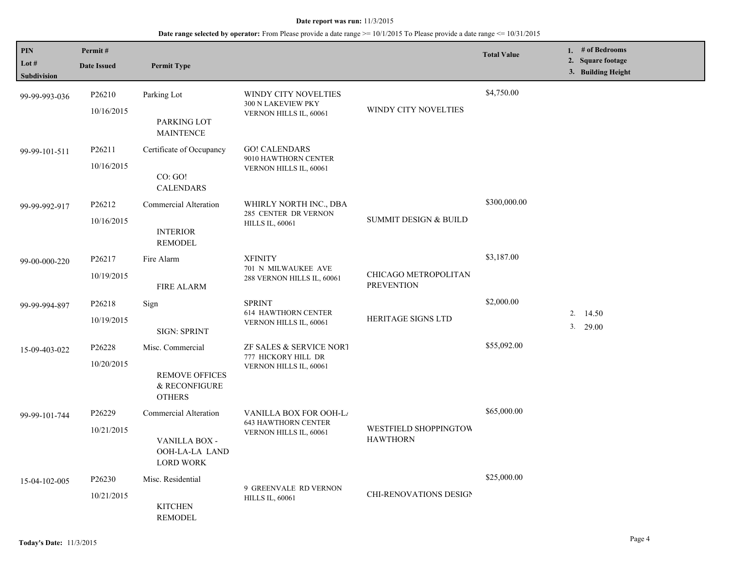| PIN                    | Permit#                                             |                                                         |                                                                                                |                                  | <b>Total Value</b> | 1. # of Bedrooms                        |
|------------------------|-----------------------------------------------------|---------------------------------------------------------|------------------------------------------------------------------------------------------------|----------------------------------|--------------------|-----------------------------------------|
| Lot $#$<br>Subdivision | <b>Date Issued</b>                                  | <b>Permit Type</b>                                      |                                                                                                |                                  |                    | 2. Square footage<br>3. Building Height |
|                        |                                                     |                                                         |                                                                                                |                                  |                    |                                         |
| 99-99-993-036          | P <sub>26210</sub>                                  | Parking Lot                                             | WINDY CITY NOVELTIES<br>300 N LAKEVIEW PKY                                                     |                                  | \$4,750.00         |                                         |
|                        | 10/16/2015                                          | PARKING LOT<br><b>MAINTENCE</b>                         | WINDY CITY NOVELTIES<br>VERNON HILLS IL, 60061                                                 |                                  |                    |                                         |
| 99-99-101-511          | P26211                                              | Certificate of Occupancy                                | <b>GO! CALENDARS</b><br>9010 HAWTHORN CENTER                                                   |                                  |                    |                                         |
|                        | 10/16/2015                                          |                                                         | VERNON HILLS IL, 60061                                                                         |                                  |                    |                                         |
|                        |                                                     | CO: GO!<br><b>CALENDARS</b>                             |                                                                                                |                                  |                    |                                         |
| 99-99-992-917          | P26212                                              | Commercial Alteration                                   | WHIRLY NORTH INC., DBA                                                                         |                                  | \$300,000.00       |                                         |
|                        | 10/16/2015                                          |                                                         | 285 CENTER DR VERNON<br><b>HILLS IL, 60061</b>                                                 | <b>SUMMIT DESIGN &amp; BUILD</b> |                    |                                         |
|                        |                                                     | <b>INTERIOR</b><br><b>REMODEL</b>                       |                                                                                                |                                  |                    |                                         |
| 99-00-000-220          | P <sub>26217</sub>                                  | Fire Alarm                                              | <b>XFINITY</b>                                                                                 |                                  | \$3,187.00         |                                         |
|                        | 10/19/2015                                          | <b>FIRE ALARM</b>                                       | 701 N MILWAUKEE AVE<br>CHICAGO METROPOLITAN<br>288 VERNON HILLS IL, 60061<br><b>PREVENTION</b> |                                  |                    |                                         |
| 99-99-994-897          | P26218                                              | Sign                                                    | <b>SPRINT</b>                                                                                  |                                  | \$2,000.00         |                                         |
|                        | 10/19/2015                                          |                                                         | <b>614 HAWTHORN CENTER</b><br>VERNON HILLS IL, 60061                                           | <b>HERITAGE SIGNS LTD</b>        |                    | 2. 14.50                                |
|                        |                                                     | <b>SIGN: SPRINT</b>                                     |                                                                                                |                                  |                    | $3. \quad 29.00$                        |
| 15-09-403-022          | P26228                                              | Misc. Commercial                                        | ZF SALES & SERVICE NORT                                                                        |                                  | \$55,092.00        |                                         |
|                        | 10/20/2015                                          |                                                         | 777 HICKORY HILL DR                                                                            |                                  |                    |                                         |
|                        |                                                     | <b>REMOVE OFFICES</b><br>& RECONFIGURE<br><b>OTHERS</b> | VERNON HILLS IL, 60061                                                                         |                                  |                    |                                         |
| 99-99-101-744          | P <sub>26229</sub>                                  | Commercial Alteration                                   | <b>VANILLA BOX FOR OOH-LA</b>                                                                  |                                  | \$65,000.00        |                                         |
|                        | 10/21/2015                                          |                                                         | <b>643 HAWTHORN CENTER</b><br>VERNON HILLS IL, 60061                                           | WESTFIELD SHOPPINGTOW            |                    |                                         |
|                        | VANILLA BOX -<br>OOH-LA-LA LAND<br><b>LORD WORK</b> |                                                         | <b>HAWTHORN</b>                                                                                |                                  |                    |                                         |
| 15-04-102-005          | P26230                                              | Misc. Residential                                       |                                                                                                |                                  | \$25,000.00        |                                         |
|                        | 10/21/2015                                          |                                                         | 9 GREENVALE RD VERNON<br><b>HILLS IL, 60061</b>                                                | <b>CHI-RENOVATIONS DESIGN</b>    |                    |                                         |
|                        |                                                     | <b>KITCHEN</b><br><b>REMODEL</b>                        |                                                                                                |                                  |                    |                                         |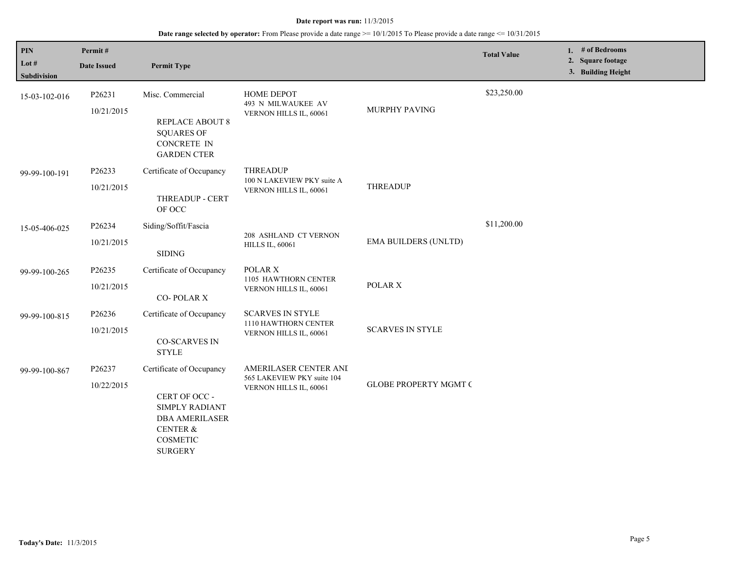| PIN<br>Lot #<br><b>Subdivision</b> | Permit#<br><b>Date Issued</b> | <b>Permit Type</b>                                                                                                                        |                                                                               |                              | <b>Total Value</b> | 1. # of Bedrooms<br>2. Square footage<br>3. Building Height |  |
|------------------------------------|-------------------------------|-------------------------------------------------------------------------------------------------------------------------------------------|-------------------------------------------------------------------------------|------------------------------|--------------------|-------------------------------------------------------------|--|
| 15-03-102-016                      | P26231<br>10/21/2015          | Misc. Commercial<br><b>REPLACE ABOUT 8</b><br><b>SQUARES OF</b><br><b>CONCRETE IN</b><br><b>GARDEN CTER</b>                               | <b>HOME DEPOT</b><br>493 N MILWAUKEE AV<br>VERNON HILLS IL, 60061             | MURPHY PAVING                | \$23,250.00        |                                                             |  |
| 99-99-100-191                      | P26233<br>10/21/2015          | Certificate of Occupancy<br>THREADUP - CERT<br>OF OCC                                                                                     | <b>THREADUP</b><br>100 N LAKEVIEW PKY suite A<br>VERNON HILLS IL, 60061       | <b>THREADUP</b>              |                    |                                                             |  |
| 15-05-406-025                      | P26234<br>10/21/2015          | Siding/Soffit/Fascia<br><b>SIDING</b>                                                                                                     | 208 ASHLAND CT VERNON<br><b>HILLS IL, 60061</b>                               | <b>EMA BUILDERS (UNLTD)</b>  | \$11,200.00        |                                                             |  |
| 99-99-100-265                      | P26235<br>10/21/2015          | Certificate of Occupancy<br><b>CO-POLAR X</b>                                                                                             | POLAR X<br>1105 HAWTHORN CENTER<br>VERNON HILLS IL, 60061                     | POLAR X                      |                    |                                                             |  |
| 99-99-100-815                      | P26236<br>10/21/2015          | Certificate of Occupancy<br><b>CO-SCARVES IN</b><br><b>STYLE</b>                                                                          | <b>SCARVES IN STYLE</b><br>1110 HAWTHORN CENTER<br>VERNON HILLS IL, 60061     | <b>SCARVES IN STYLE</b>      |                    |                                                             |  |
| 99-99-100-867                      | P26237<br>10/22/2015          | Certificate of Occupancy<br>CERT OF OCC -<br>SIMPLY RADIANT<br><b>DBA AMERILASER</b><br><b>CENTER &amp;</b><br>COSMETIC<br><b>SURGERY</b> | AMERILASER CENTER ANI<br>565 LAKEVIEW PKY suite 104<br>VERNON HILLS IL, 60061 | <b>GLOBE PROPERTY MGMT C</b> |                    |                                                             |  |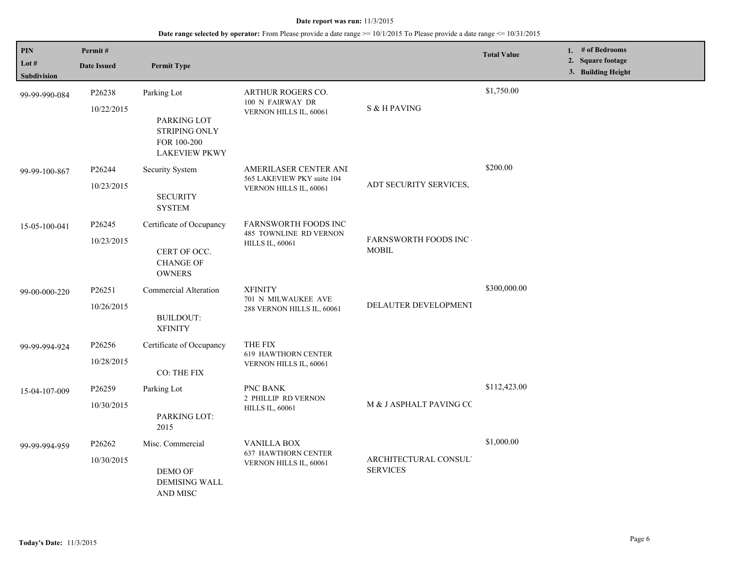| PIN<br>Lot $#$ | Permit#                          |                                                                                           |                                                                                 |                                          | <b>Total Value</b> | 1. $#$ of Bedrooms<br>2. Square footage |
|----------------|----------------------------------|-------------------------------------------------------------------------------------------|---------------------------------------------------------------------------------|------------------------------------------|--------------------|-----------------------------------------|
| Subdivision    | <b>Date Issued</b>               | <b>Permit Type</b>                                                                        |                                                                                 |                                          | 3. Building Height |                                         |
| 99-99-990-084  | P26238<br>10/22/2015             | Parking Lot<br>PARKING LOT<br><b>STRIPING ONLY</b><br>FOR 100-200<br><b>LAKEVIEW PKWY</b> | <b>ARTHUR ROGERS CO.</b><br>100 N FAIRWAY DR<br>VERNON HILLS IL, 60061          | S & H PAVING                             | \$1,750.00         |                                         |
| 99-99-100-867  | P26244<br>10/23/2015             | Security System<br><b>SECURITY</b><br><b>SYSTEM</b>                                       | AMERILASER CENTER ANI<br>565 LAKEVIEW PKY suite 104<br>VERNON HILLS IL, 60061   | ADT SECURITY SERVICES,                   | \$200.00           |                                         |
| 15-05-100-041  | P <sub>26245</sub><br>10/23/2015 | Certificate of Occupancy<br>CERT OF OCC.<br><b>CHANGE OF</b><br><b>OWNERS</b>             | <b>FARNSWORTH FOODS INC</b><br>485 TOWNLINE RD VERNON<br><b>HILLS IL, 60061</b> | FARNSWORTH FOODS INC<br><b>MOBIL</b>     |                    |                                         |
| 99-00-000-220  | P26251<br>10/26/2015             | Commercial Alteration<br><b>BUILDOUT:</b><br><b>XFINITY</b>                               | <b>XFINITY</b><br>701 N MILWAUKEE AVE<br>288 VERNON HILLS IL, 60061             | DELAUTER DEVELOPMENT                     | \$300,000.00       |                                         |
| 99-99-994-924  | P26256<br>10/28/2015             | Certificate of Occupancy<br>CO: THE FIX                                                   | THE FIX<br><b>619 HAWTHORN CENTER</b><br>VERNON HILLS IL, 60061                 |                                          |                    |                                         |
| 15-04-107-009  | P26259<br>10/30/2015             | Parking Lot<br>PARKING LOT:<br>2015                                                       | PNC BANK<br>2 PHILLIP RD VERNON<br><b>HILLS IL, 60061</b>                       | M & J ASPHALT PAVING CC                  | \$112,423.00       |                                         |
| 99-99-994-959  | P26262<br>10/30/2015             | Misc. Commercial<br>DEMO OF<br><b>DEMISING WALL</b><br>AND MISC                           | <b>VANILLA BOX</b><br><b>637 HAWTHORN CENTER</b><br>VERNON HILLS IL, 60061      | ARCHITECTURAL CONSUL'<br><b>SERVICES</b> | \$1,000.00         |                                         |